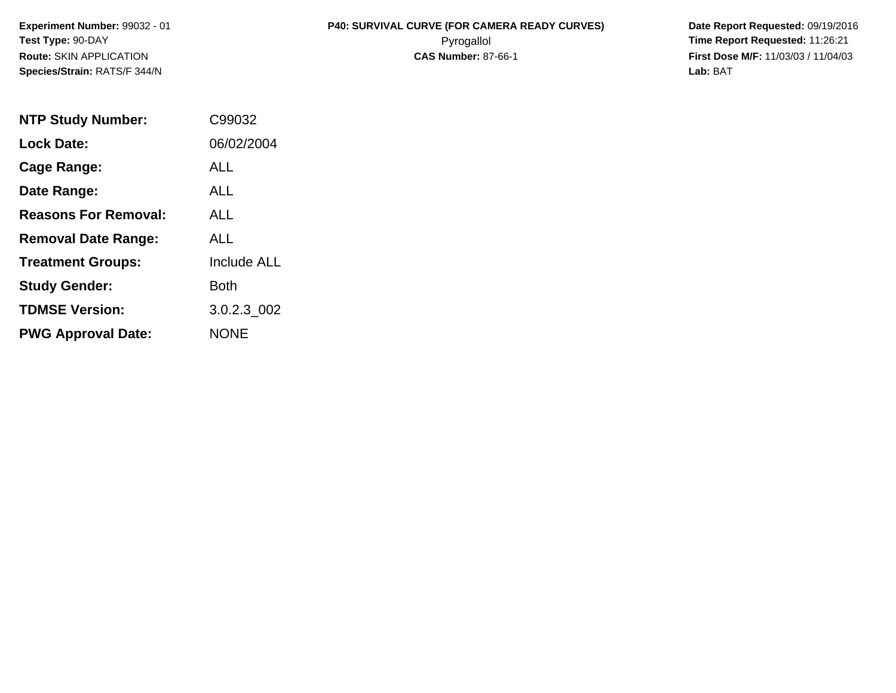**Species/Strain:** RATS/F 344/N **Lab:** BAT

## **Experiment Number:** 99032 - 01 **P40: SURVIVAL CURVE (FOR CAMERA READY CURVES) Date Report Requested:** 09/19/2016 **Test Type:** 90-DAY Pyrogallol **Time Report Requested:** 11:26:21 **Route:** SKIN APPLICATION **CAS Number:** 87-66-1 **First Dose M/F:** 11/03/03 / 11/04/03

| <b>NTP Study Number:</b>    | C99032             |
|-----------------------------|--------------------|
| <b>Lock Date:</b>           | 06/02/2004         |
| Cage Range:                 | ALL                |
| Date Range:                 | ALL                |
| <b>Reasons For Removal:</b> | AI I               |
| <b>Removal Date Range:</b>  | ALL                |
| <b>Treatment Groups:</b>    | <b>Include ALL</b> |
| <b>Study Gender:</b>        | Both               |
| <b>TDMSE Version:</b>       | 3.0.2.3_002        |
| <b>PWG Approval Date:</b>   | <b>NONE</b>        |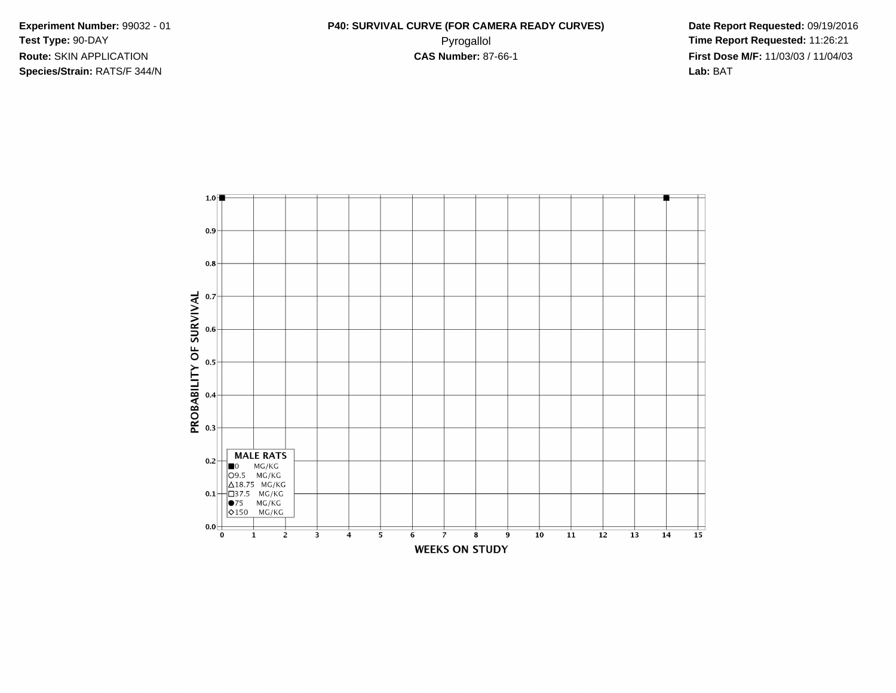**Species/Strain:** RATS/F 344/N **Lab:** BAT